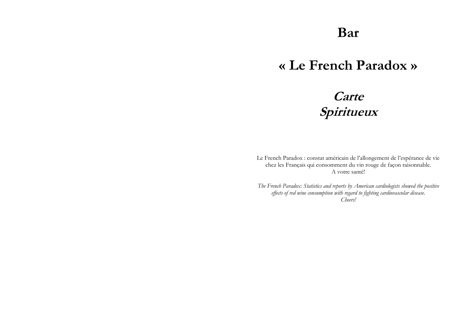## **Bar**

## **« Le French Paradox »**

# **Carte Spiritueux**

Le French Paradox : constat américain de l'allongement de l'espérance de vie chez les Français qui consomment du vin rouge de façon raisonnable. A votre santé!

*The French Paradox: Statistics and reports by American cardiologists showed the positive effects of red wine consumption with regard to fighting cardiovascular disease. Cheers!*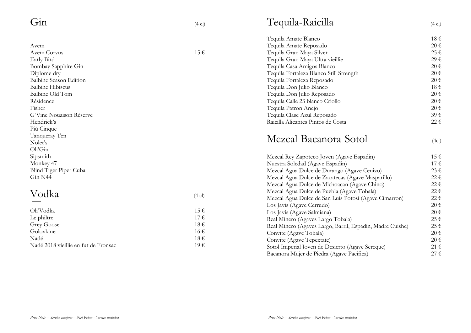|                               |                  | Tequila Amate Dianc    |
|-------------------------------|------------------|------------------------|
| Avem                          |                  | Tequila Amate Repo     |
| Avem Corvus                   | $15 \in$         | Tequila Gran Maya S    |
| Early Bird                    |                  | Tequila Gran Maya U    |
| Bombay Sapphire Gin           |                  | Tequila Casa Amigos    |
| Dîplome dry                   |                  | Tequila Fortaleza Bla  |
| <b>Balbine Season Edition</b> |                  | Tequila Fortaleza Re   |
| <b>Balbine Hibiscus</b>       |                  | Tequila Don Julio Bl   |
| Balbine Old Tom               |                  | Tequila Don Julio Re   |
| Résidence                     |                  | Tequila Calle 23 blan  |
| Fisher                        |                  | Tequila Patron Anejo   |
| G'Vine Nouaison Réserve       |                  | Tequila Clase Azul R   |
| Hendrick's                    |                  | Raicilla Alicantes Pin |
| Più Cinque                    |                  |                        |
| Tanqueray Ten                 |                  | Mezcal-Bac             |
| Nolet's                       |                  |                        |
| Oli'Gin                       |                  |                        |
| Sipsmith                      |                  | Mezcal Rey Zapoteco    |
| Monkey 47                     |                  | Nuestra Soledad (Ag    |
| Blind Tiger Piper Cuba        |                  | Mezcal Agua Dulce o    |
| Gin N44                       |                  | Mezcal Agua Dulce o    |
|                               |                  | Mezcal Agua Dulce o    |
| Vodka                         |                  | Mezcal Agua Dulce o    |
|                               | $(4 \text{ cl})$ | Mezcal Agua Dulce o    |
|                               |                  | Los Javis (Agave Cer   |
| Oli'Vodka                     | 15€              | Los Javis (Agave Salr  |
| Le philtre                    | 17€              | Real Minero (Agaves    |
| Grey Goose                    | 18€              | Real Minero (Agaves    |
| Golovkine                     | 16€              | Convite (Agaye Tob:    |

| Grey Goose                           | 18€ |
|--------------------------------------|-----|
| Golovkine                            | 16€ |
| Nadé                                 | 18€ |
| Nadé 2018 vieillie en fut de Fronsac | 19€ |

### Tequila-Raicilla (4 cl)

| Tequila Amate Blanco                    | 18€               |
|-----------------------------------------|-------------------|
| Tequila Amate Reposado                  | $20 \text{ } \in$ |
| Tequila Gran Maya Silver                | $25 \in$          |
| Tequila Gran Maya Ultra vieillie        | 29€               |
| Tequila Casa Amigos Blanco              | $20 \text{ } \in$ |
| Tequila Fortaleza Blanco Still Strength | $20 \text{ } \in$ |
| Tequila Fortaleza Reposado              | $20 \text{ } \in$ |
| Tequila Don Julio Blanco                | 18€               |
| Tequila Don Julio Reposado              | $20 \text{ } \in$ |
| Tequila Calle 23 blanco Criollo         | $20 \text{ } \in$ |
| Tequila Patron Anejo                    | $20 \text{ } \in$ |
| Tequila Clase Azul Reposado             | 39€               |
| Raicilla Alicantes Pintos de Costa      | 22.€              |
|                                         |                   |

#### -Bacanora -Sotol (4cl)

| Mezcal Rey Zapoteco Joven (Agave Espadin)                 | 15€               |
|-----------------------------------------------------------|-------------------|
| Nuestra Soledad (Agave Espadin)                           | $17 \text{ } \in$ |
| Mezcal Agua Dulce de Durango (Agave Cenizo)               | $23 \in$          |
| Mezcal Agua Dulce de Zacatecas (Agave Masparillo)         | $22 \in$          |
| Mezcal Agua Dulce de Michoacan (Agave Chino)              | 22€               |
| Mezcal Agua Dulce de Puebla (Agave Tobala)                | 22€               |
| Mezcal Agua Dulce de San Luis Potosi (Agave Cimarron)     | 22€               |
| Los Javis (Agave Cerrudo)                                 | 20€               |
| Los Javis (Agave Salmiana)                                | $20 \text{ } \in$ |
| Real Minero (Agaves Largo Tobala)                         | 25€               |
| Real Minero (Agaves Largo, Barril, Espadin, Madre Cuishe) | 25€               |
| Convite (Agave Tobala)                                    | $20 \text{ } \in$ |
| Convite (Agave Tepextate)                                 | $20 \text{ } \in$ |
| Sotol Imperial Joven de Desierto (Agave Sereque)          | 21€               |
| Bacanora Mujer de Piedra (Agave Pacifica)                 | $27 \in$          |
|                                                           |                   |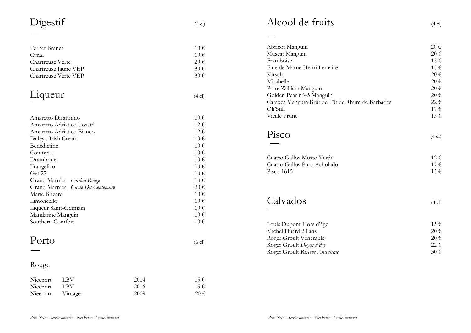| Digestif | $(4 \text{ cl})$ |  |
|----------|------------------|--|
|          |                  |  |

| Fernet Branca                     | 10€               |
|-----------------------------------|-------------------|
| Cynar                             | $10 \in$          |
| Chartreuse Verte                  | $20 \in$          |
| Chartreuse Jaune VEP              | 30€               |
| Chartreuse Verte VEP              | $30 \text{ } \in$ |
|                                   |                   |
| Liqueur                           | $(4 \text{ cl})$  |
|                                   |                   |
| Amaretto Disaronno                | $10 \in$          |
| Amaretto Adriatico Toasté         | $12 \in$          |
| Amaretto Adriatico Bianco         | $12 \in$          |
| Bailey's Irish Cream              | $10 \in$          |
| Benedictine                       | $10 \in$          |
| Cointreau                         | $10 \in$          |
| Drambruie                         | $10 \in$          |
| Frangelico                        | $10 \in$          |
| Get 27                            | $10 \in$          |
| Grand Marnier Cordon Rouge        | $10 \, \epsilon$  |
| Grand Marnier Cuvée Du Centenaire | 20€               |
| Marie Brizard                     | $10 \in$          |
| Limoncello                        | $10 \in$          |
| Liqueur Saint-Germain             | 10€               |

Mandarine Manguin

#### Rou ge

| Nieeport LBV     | 2014 | 15€      |
|------------------|------|----------|
| Nieeport LBV     | 2016 | $15 \in$ |
| Nieeport Vintage | 2009 | $20 \in$ |

Liqueur Saint-Germain  $10 \in$ 

Southern Comfort  $10 \in$ 

Porto (6 cl)

 $10 \in$ 

| THUUUI UU ITUITS            | $(4 \text{ cl})$ |
|-----------------------------|------------------|
|                             |                  |
| Abricot Manguin             | $20 \in$         |
| Muscat Manguin              | $20 \in$         |
| Framboise                   | $15 \in$         |
| Fine de Marne Henri Lemaire | 15€              |
| Kirsch                      | 20 €             |

| Framboise                                       | 15€               |
|-------------------------------------------------|-------------------|
| Fine de Marne Henri Lemaire                     | $15 \in$          |
| Kirsch                                          | 20€               |
| Mirabelle                                       | $20 \text{ } \in$ |
| Poire William Manguin                           | $20 \text{ } \in$ |
| Golden Pear n°45 Manguin                        | $20 \in$          |
| Caraxes Manguin Brût de Fût de Rhum de Barbades | 22€               |
| Oli'Still                                       | $17 \in$          |
| Vieille Prune                                   | $15 \in$          |
|                                                 |                   |
| Pisco                                           | $(4 \text{ cl})$  |
|                                                 |                   |
|                                                 |                   |
| Cuatro Gallos Mosto Verde                       | $12 \in$          |
| Cuatro Gallos Puro Acholado                     | 17€               |
| Pisco 1615                                      | $15 \in$          |
|                                                 |                   |
|                                                 |                   |
|                                                 |                   |
| Calvados                                        | $(4 \text{ cl})$  |
|                                                 |                   |
|                                                 |                   |
|                                                 |                   |

| 15€               |
|-------------------|
| $20 \text{ } \in$ |
| 20 €              |
| $22 \epsilon$     |
| 30€               |
|                   |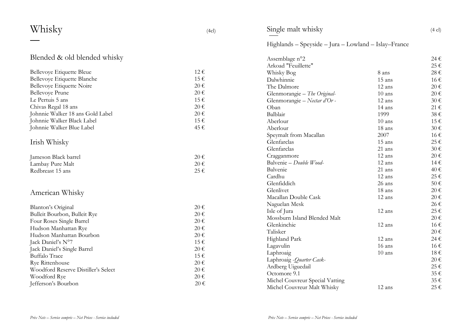| Whisky                              | (4cl)             | Single malt whisky                    |                                                      | $(4 \text{ cl})$  |
|-------------------------------------|-------------------|---------------------------------------|------------------------------------------------------|-------------------|
|                                     |                   |                                       | Highlands – Speyside – Jura – Lowland – Islay–France |                   |
| Blended & old blended whisky        |                   | Assemblage n°2<br>Arkoad "Feuillette" |                                                      | 24€<br>25€        |
| Bellevoye Etiquette Bleue           | $12 \in$          | Whisky Bog                            | 8 ans                                                | 28€               |
| Bellevoye Etiquette Blanche         | 15€               | Dalwhinnie                            | 15 ans                                               | 16€               |
| Bellevoye Etiquette Noire           | $20 \in$          | The Dalmore                           | 12 ans                                               | $20 \in$          |
| <b>Bellevoye Prune</b>              | 20€               | Glenmorangie - The Original-          | $10$ ans                                             | 20€               |
| Le Pertuis 5 ans                    | 15€               | Glenmorangie - Nectar d'Or -          | 12 ans                                               | 30€               |
| Chivas Regal 18 ans                 | $20\,\mathrm{E}$  | Oban                                  | 14 ans                                               | $21 \text{ } \in$ |
| Johnnie Walker 18 ans Gold Label    | $20 \in$          | Balblair                              | 1999                                                 | 38€               |
| Johnnie Walker Black Label          | 15€               | Aberlour                              | $10$ ans                                             | 15€               |
| Johnnie Walker Blue Label           | 45€               | Aberlour                              | 18 ans                                               | 30€               |
|                                     |                   | Speymalt from Macallan                | 2007                                                 | 16€               |
| Irish Whisky                        |                   | Glenfarclas                           | 15 ans                                               | 25€               |
|                                     |                   | Glenfarclas                           | 21 ans                                               | 30€               |
| Jameson Black barrel                | $20 \text{ } \in$ | Cragganmore                           | 12 ans                                               | 20€               |
| Lambay Pure Malt                    | 20€               | Balvenie - Double Wood-               | 12 ans                                               | 14€               |
| Redbreast 15 ans                    | 25€               | Balvenie                              | 21 ans                                               | 40€               |
|                                     |                   | Cardhu                                | 12 ans                                               | 25€               |
|                                     |                   | Glenfiddich                           | 26 ans                                               | 50€               |
| American Whisky                     |                   | Glenlivet                             | 18 ans                                               | $20 \text{ } \in$ |
|                                     |                   | Macallan Double Cask                  | 12 ans                                               | $20 \text{ } \in$ |
| Blanton's Original                  | $20 \text{ } \in$ | Naguelan Mesk                         |                                                      | 26€               |
| Bulleit Bourbon, Bulleit Rye        | $20 \text{ } \in$ | Isle of Jura                          | 12 ans                                               | 25€               |
| Four Roses Single Barrel            | $20 \text{ } \in$ | Mossburn Island Blended Malt          |                                                      | $20 \text{ } \in$ |
| Hudson Manhattan Rye                | 20€               | Glenkinchie                           | 12 ans                                               | 16€               |
| Hudson Manhattan Bourbon            | $20 \in$          | Talisker                              |                                                      | 20€               |
| Jack Daniel's N°7                   | 15€               | Highland Park                         | 12 ans                                               | 24€               |
| Jack Daniel's Single Barrel         | 20€               | Lagavulin                             | 16 ans                                               | 16€               |
| <b>Buffalo Trace</b>                | 15€               | Laphroaig                             | $10$ ans                                             | 18€               |
| <b>Rye Rittenhouse</b>              | 20€               | Laphroaig - Quarter Cask-             |                                                      | $20 \text{ } \in$ |
| Woodford Reserve Distiller's Select | 20€               | Ardberg Uiguedail                     |                                                      | 25€               |
| Woodford Rye                        | 20€               | Octomore 9.1                          |                                                      | 35€               |
| Jefferson's Bourbon                 | $20\,\epsilon$    | Michel Couvreur Special Vatting       |                                                      | 35€               |
|                                     |                   | Michel Couvreur Malt Whisky           | 12 ans                                               | 25€               |